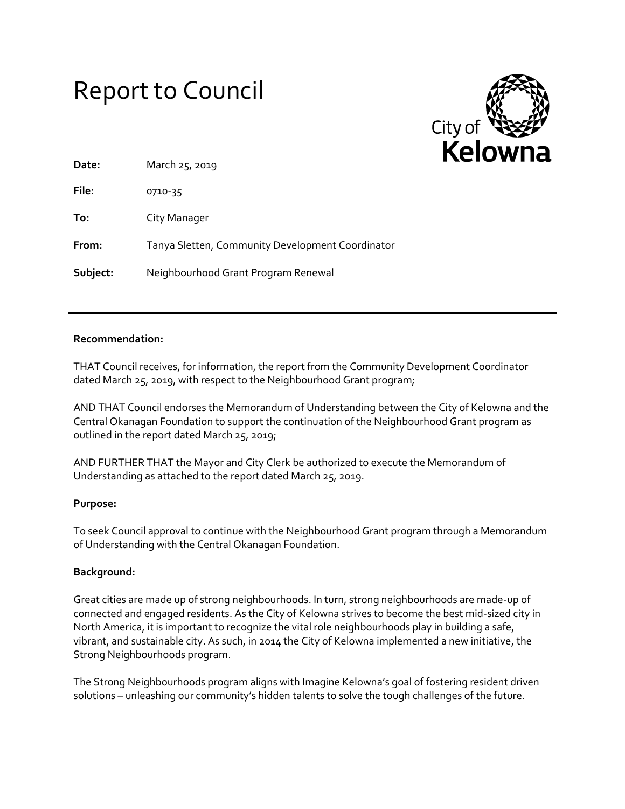# Report to Council



| Date:    | March 25, 2019                                   |
|----------|--------------------------------------------------|
| File:    | 0710-35                                          |
| To:      | City Manager                                     |
| From:    | Tanya Sletten, Community Development Coordinator |
| Subject: | Neighbourhood Grant Program Renewal              |

# **Recommendation:**

THAT Council receives, for information, the report from the Community Development Coordinator dated March 25, 2019, with respect to the Neighbourhood Grant program;

AND THAT Council endorses the Memorandum of Understanding between the City of Kelowna and the Central Okanagan Foundation to support the continuation of the Neighbourhood Grant program as outlined in the report dated March 25, 2019;

AND FURTHER THAT the Mayor and City Clerk be authorized to execute the Memorandum of Understanding as attached to the report dated March 25, 2019.

# **Purpose:**

To seek Council approval to continue with the Neighbourhood Grant program through a Memorandum of Understanding with the Central Okanagan Foundation.

#### **Background:**

Great cities are made up of strong neighbourhoods. In turn, strong neighbourhoods are made-up of connected and engaged residents. As the City of Kelowna strives to become the best mid-sized city in North America, it is important to recognize the vital role neighbourhoods play in building a safe, vibrant, and sustainable city. As such, in 2014 the City of Kelowna implemented a new initiative, the Strong Neighbourhoods program.

The Strong Neighbourhoods program aligns with Imagine Kelowna's goal of fostering resident driven solutions – unleashing our community's hidden talents to solve the tough challenges of the future.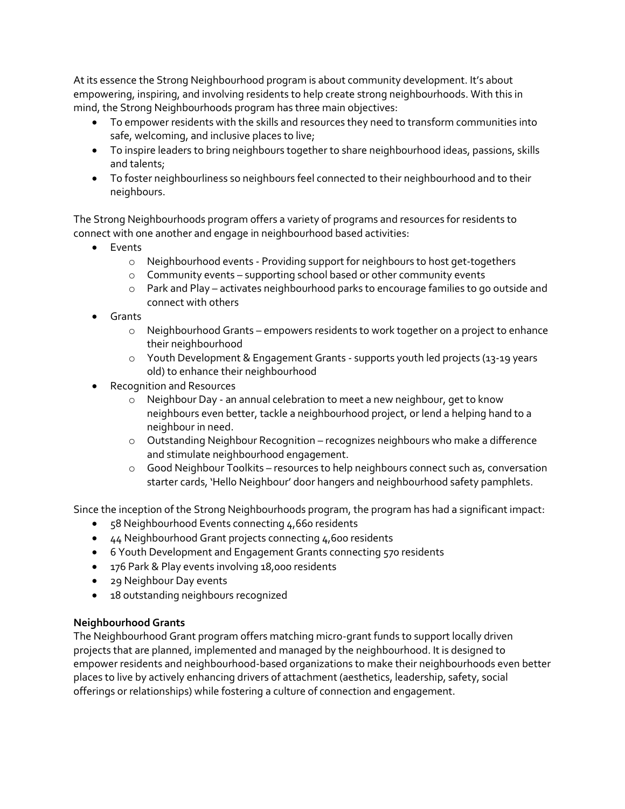At its essence the Strong Neighbourhood program is about community development. It's about empowering, inspiring, and involving residents to help create strong neighbourhoods. With this in mind, the Strong Neighbourhoods program has three main objectives:

- To empower residents with the skills and resources they need to transform communities into safe, welcoming, and inclusive places to live;
- To inspire leaders to bring neighbours together to share neighbourhood ideas, passions, skills and talents;
- To foster neighbourliness so neighbours feel connected to their neighbourhood and to their neighbours.

The Strong Neighbourhoods program offers a variety of programs and resources for residents to connect with one another and engage in neighbourhood based activities:

- Events
	- o Neighbourhood events Providing support for neighbours to host get-togethers
	- o Community events supporting school based or other community events
	- o Park and Play activates neighbourhood parks to encourage families to go outside and connect with others
- Grants
	- o Neighbourhood Grants empowers residents to work together on a project to enhance their neighbourhood
	- o Youth Development & Engagement Grants supports youth led projects (13-19 years old) to enhance their neighbourhood
- Recognition and Resources
	- o Neighbour Day an annual celebration to meet a new neighbour, get to know neighbours even better, tackle a neighbourhood project, or lend a helping hand to a neighbour in need.
	- o Outstanding Neighbour Recognition recognizes neighbours who make a difference and stimulate neighbourhood engagement.
	- $\circ$  Good Neighbour Toolkits resources to help neighbours connect such as, conversation starter cards, 'Hello Neighbour' door hangers and neighbourhood safety pamphlets.

Since the inception of the Strong Neighbourhoods program, the program has had a significant impact:

- 58 Neighbourhood Events connecting 4,660 residents
- 44 Neighbourhood Grant projects connecting 4,600 residents
- 6 Youth Development and Engagement Grants connecting 570 residents
- 176 Park & Play events involving 18,000 residents
- 29 Neighbour Day events
- 18 outstanding neighbours recognized

# **Neighbourhood Grants**

The Neighbourhood Grant program offers matching micro-grant funds to support locally driven projects that are planned, implemented and managed by the neighbourhood. It is designed to empower residents and neighbourhood-based organizations to make their neighbourhoods even better places to live by actively enhancing drivers of attachment (aesthetics, leadership, safety, social offerings or relationships) while fostering a culture of connection and engagement.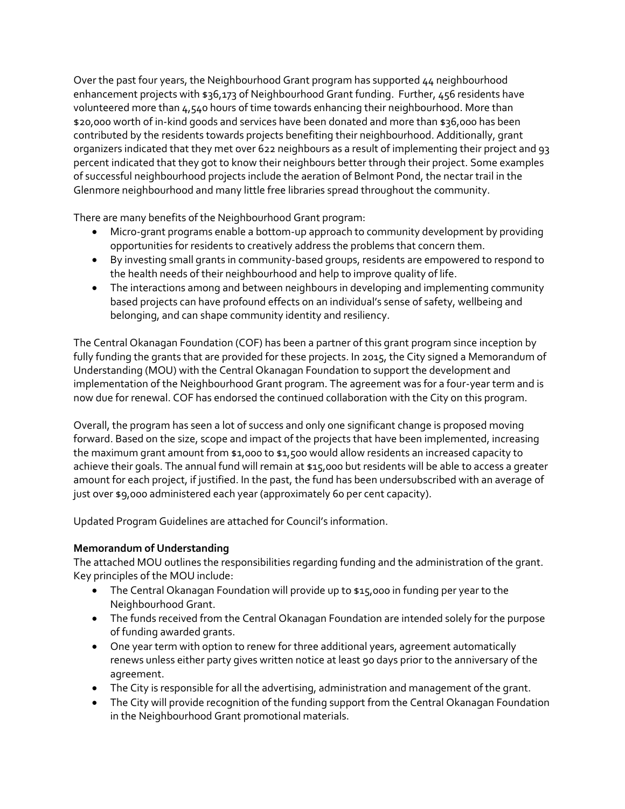Over the past four years, the Neighbourhood Grant program has supported 44 neighbourhood enhancement projects with \$36,173 of Neighbourhood Grant funding. Further, 456 residents have volunteered more than 4,540 hours of time towards enhancing their neighbourhood. More than \$20,000 worth of in-kind goods and services have been donated and more than \$36,000 has been contributed by the residents towards projects benefiting their neighbourhood. Additionally, grant organizers indicated that they met over 622 neighbours as a result of implementing their project and 93 percent indicated that they got to know their neighbours better through their project. Some examples of successful neighbourhood projects include the aeration of Belmont Pond, the nectar trail in the Glenmore neighbourhood and many little free libraries spread throughout the community.

There are many benefits of the Neighbourhood Grant program:

- Micro-grant programs enable a bottom-up approach to community development by providing opportunities for residents to creatively address the problems that concern them.
- By investing small grants in community-based groups, residents are empowered to respond to the health needs of their neighbourhood and help to improve quality of life.
- The interactions among and between neighbours in developing and implementing community based projects can have profound effects on an individual's sense of safety, wellbeing and belonging, and can shape community identity and resiliency.

The Central Okanagan Foundation (COF) has been a partner of this grant program since inception by fully funding the grants that are provided for these projects. In 2015, the City signed a Memorandum of Understanding (MOU) with the Central Okanagan Foundation to support the development and implementation of the Neighbourhood Grant program. The agreement was for a four-year term and is now due for renewal. COF has endorsed the continued collaboration with the City on this program.

Overall, the program has seen a lot of success and only one significant change is proposed moving forward. Based on the size, scope and impact of the projects that have been implemented, increasing the maximum grant amount from \$1,000 to \$1,500 would allow residents an increased capacity to achieve their goals. The annual fund will remain at \$15,000 but residents will be able to access a greater amount for each project, if justified. In the past, the fund has been undersubscribed with an average of just over \$9,000 administered each year (approximately 60 per cent capacity).

Updated Program Guidelines are attached for Council's information.

# **Memorandum of Understanding**

The attached MOU outlines the responsibilities regarding funding and the administration of the grant. Key principles of the MOU include:

- The Central Okanagan Foundation will provide up to \$15,000 in funding per year to the Neighbourhood Grant.
- The funds received from the Central Okanagan Foundation are intended solely for the purpose of funding awarded grants.
- One year term with option to renew for three additional years, agreement automatically renews unless either party gives written notice at least 90 days prior to the anniversary of the agreement.
- The City is responsible for all the advertising, administration and management of the grant.
- The City will provide recognition of the funding support from the Central Okanagan Foundation in the Neighbourhood Grant promotional materials.